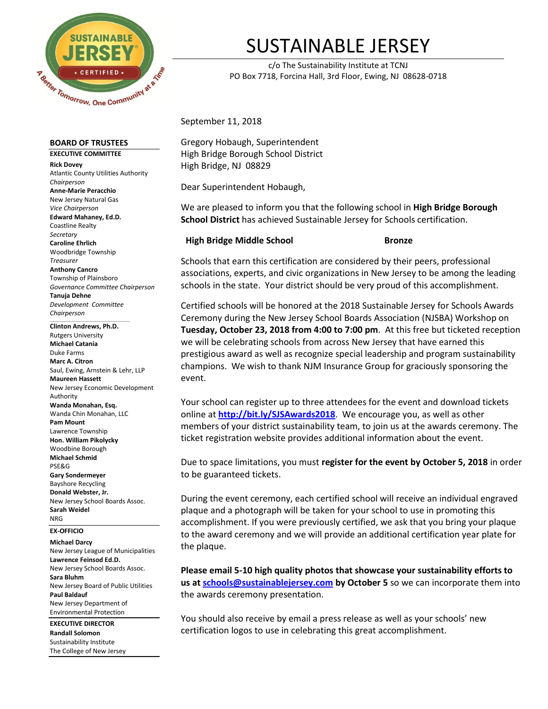

## SUSTAINABLE JERSEY

c/o The Sustainability Institute at TCNJ PO Box 7718, Forcina Hall, 3rd Floor, Ewing, NJ 08628-0718

September 11, 2018

Gregory Hobaugh, Superintendent High Bridge Borough School District High Bridge, NJ 08829

Dear Superintendent Hobaugh,

We are pleased to inform you that the following school in **High Bridge Borough School District** has achieved Sustainable Jersey for Schools certification.

## **High Bridge Middle School Bronze**

Schools that earn this certification are considered by their peers, professional associations, experts, and civic organizations in New Jersey to be among the leading schools in the state. Your district should be very proud of this accomplishment.

Certified schools will be honored at the 2018 Sustainable Jersey for Schools Awards Ceremony during the New Jersey School Boards Association (NJSBA) Workshop on **Tuesday, October 23, 2018 from 4:00 to 7:00 pm**. At this free but ticketed reception we will be celebrating schools from across New Jersey that have earned this prestigious award as well as recognize special leadership and program sustainability champions. We wish to thank NJM Insurance Group for graciously sponsoring the event.

Your school can register up to three attendees for the event and download tickets online at **<http://bit.ly/SJSAwards2018>**. We encourage you, as well as other members of your district sustainability team, to join us at the awards ceremony. The ticket registration website provides additional information about the event.

Due to space limitations, you must **register for the event by October 5, 2018** in order to be guaranteed tickets.

During the event ceremony, each certified school will receive an individual engraved plaque and a photograph will be taken for your school to use in promoting this accomplishment. If you were previously certified, we ask that you bring your plaque to the award ceremony and we will provide an additional certification year plate for the plaque.

**Please email 5-10 high quality photos that showcase your sustainability efforts to us at [schools@sustainablejersey.com](mailto:schools@sustainablejersey.com) by October 5** so we can incorporate them into the awards ceremony presentation.

You should also receive by email a press release as well as your schools' new certification logos to use in celebrating this great accomplishment.

**BOARD OF TRUSTEES**

**EXECUTIVE COMMITTEE Rick Dovey** Atlantic County Utilities Authority *Chairperson* **Anne-Marie Peracchio** New Jersey Natural Gas *Vice Chairperson* **Edward Mahaney, Ed.D.** Coastline Realty *Secretary* **Caroline Ehrlich** Woodbridge Township *Treasurer* **Anthony Cancro** Township of Plainsboro *Governance Committee Chairperson* **Tanuja Dehne** *Development Committee Chairperson*

 $\_$ **Clinton Andrews, Ph.D.** Rutgers University **Michael Catania** Duke Farms **Marc A. Citron** Saul, Ewing, Arnstein & Lehr, LLP **Maureen Hassett** New Jersey Economic Development Authority **Wanda Monahan, Esq.** Wanda Chin Monahan, LLC **Pam Mount** Lawrence Township **Hon. William Pikolycky** Woodbine Borough **Michael Schmid** PSE&G **Gary Sondermeyer** Bayshore Recycling **Donald Webster, Jr.**  New Jersey School Boards Assoc. **Sarah Weidel** NRG

**EX-OFFICIO**

## **Michael Darcy**

New Jersey League of Municipalities **Lawrence Feinsod Ed.D.** New Jersey School Boards Assoc. **Sara Bluhm** New Jersey Board of Public Utilities **Paul Baldauf** New Jersey Department of Environmental Protection

**EXECUTIVE DIRECTOR Randall Solomon** Sustainability Institute The College of New Jersey